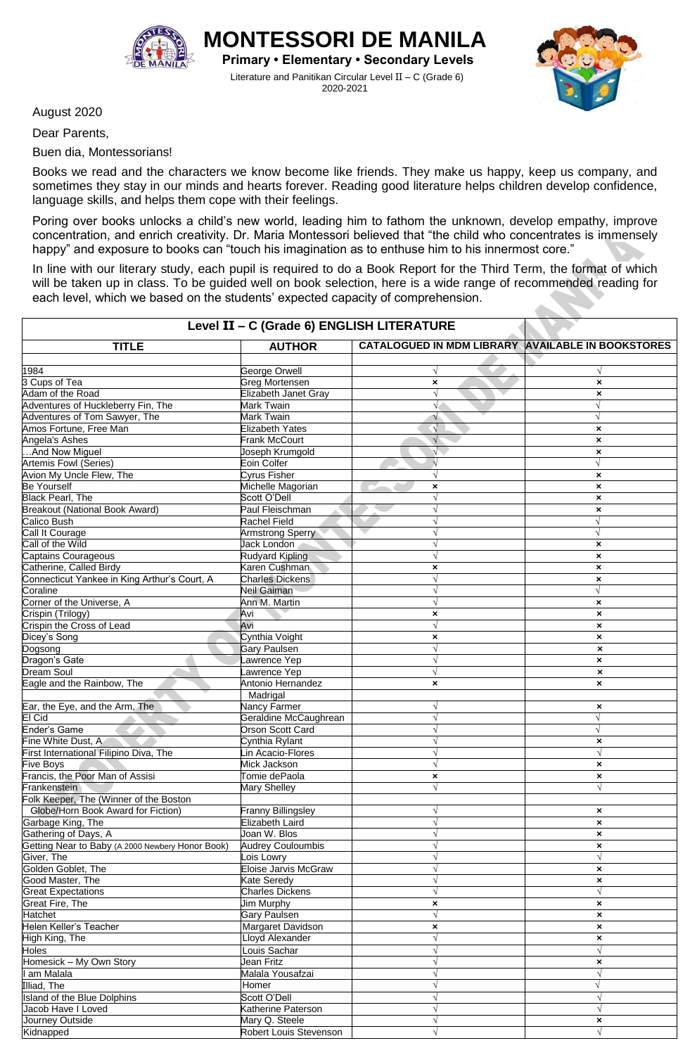

**MONTESSORI DE MANILA Primary • Elementary • Secondary Levels**

Literature and Panitikan Circular Level II – C (Grade 6) 2020-2021



August 2020

Dear Parents,

Buen dia, Montessorians!

Books we read and the characters we know become like friends. They make us happy, keep us company, and sometimes they stay in our minds and hearts forever. Reading good literature helps children develop confidence, language skills, and helps them cope with their feelings.

Poring over books unlocks a child's new world, leading him to fathom the unknown, develop empathy, improve concentration, and enrich creativity. Dr. Maria Montessori believed that "the child who concentrates is immensely happy" and exposure to books can "touch his imagination as to enthuse him to his innermost core."

In line with our literary study, each pupil is required to do a Book Report for the Third Term, the format of which will be taken up in class. To be guided well on book selection, here is a wide range of recommended reading for each level, which we based on the students' expected capacity of comprehension.

| Level II - C (Grade 6) ENGLISH LITERATURE        |                           |                                                   |                                         |  |  |
|--------------------------------------------------|---------------------------|---------------------------------------------------|-----------------------------------------|--|--|
| <b>TITLE</b>                                     | <b>AUTHOR</b>             | CATALOGUED IN MDM LIBRARY AVAILABLE IN BOOKSTORES |                                         |  |  |
|                                                  |                           |                                                   |                                         |  |  |
| 1984<br>3 Cups of Tea                            | George Orwell             | V                                                 |                                         |  |  |
|                                                  | Greg Mortensen            | ×                                                 | $\pmb{\times}$                          |  |  |
| Adam of the Road                                 | Elizabeth Janet Gray      | $\sqrt{}$                                         | $\boldsymbol{\mathsf{x}}$               |  |  |
| Adventures of Huckleberry Fin, The               | Mark Twain                | V.                                                | $\sqrt{}$                               |  |  |
| Adventures of Tom Sawyer, The                    | Mark Twain                |                                                   | $\sqrt{}$                               |  |  |
| Amos Fortune, Free Man                           | <b>Elizabeth Yates</b>    | $\sqrt{}$                                         | $\boldsymbol{\mathsf{x}}$               |  |  |
| Angela's Ashes                                   | <b>Frank McCourt</b>      | $\sqrt{ }$                                        | $\pmb{\times}$                          |  |  |
| And Now Miguel                                   | Joseph Krumgold           | $\sqrt{ }$                                        | $\pmb{\times}$                          |  |  |
| <b>Artemis Fowl (Series)</b>                     | Eoin Colfer               | $\sqrt{ }$                                        | √                                       |  |  |
| Avion My Uncle Flew, The                         | Cyrus Fisher              |                                                   | $\pmb{\times}$                          |  |  |
| <b>Be Yourself</b>                               | Michelle Magorian         | ×                                                 | $\boldsymbol{\mathsf{x}}$               |  |  |
| <b>Black Pearl, The</b>                          | Scott O'Dell              | $\sqrt{}$                                         | $\boldsymbol{\mathsf{x}}$               |  |  |
| <b>Breakout (National Book Award)</b>            | Paul Fleischman           |                                                   | $\boldsymbol{\mathsf{x}}$               |  |  |
| Calico Bush                                      | Rachel Field              |                                                   | $\sqrt{}$                               |  |  |
| Call It Courage                                  | Armstrong Sperry          |                                                   | $\sqrt{}$                               |  |  |
| Call of the Wild                                 | Jack London               |                                                   | $\pmb{\times}$                          |  |  |
| Captains Courageous                              | <b>Rudyard Kipling</b>    |                                                   | $\pmb{\times}$                          |  |  |
| Catherine, Called Birdy                          | Karen Cushman             | ×                                                 | $\pmb{\times}$                          |  |  |
| Connecticut Yankee in King Arthur's Court, A     | <b>Charles Dickens</b>    |                                                   | $\boldsymbol{\mathsf{x}}$               |  |  |
| Coraline                                         | Neil Gaiman               |                                                   |                                         |  |  |
| Corner of the Universe, A                        | Ann M. Martin             |                                                   | $\pmb{\times}$                          |  |  |
| Crispin (Trilogy)                                | Avi                       | ×                                                 | $\boldsymbol{\mathsf{x}}$               |  |  |
| Crispin the Cross of Lead                        | Avi                       | $\sqrt{}$                                         | $\pmb{\times}$                          |  |  |
| Dicey's Song                                     | Cynthia Voight            | ×                                                 | $\pmb{\times}$                          |  |  |
| Dogsong                                          | <b>Gary Paulsen</b>       |                                                   | $\boldsymbol{\mathsf{x}}$               |  |  |
| Dragon's Gate                                    | awrence Yep               |                                                   | $\boldsymbol{\mathsf{x}}$               |  |  |
| <b>Dream Soul</b>                                | awrence Yep               |                                                   | $\boldsymbol{\mathsf{x}}$               |  |  |
| Eagle and the Rainbow, The                       | Antonio Hernandez         | $\boldsymbol{\mathsf{x}}$                         | $\boldsymbol{\mathsf{x}}$               |  |  |
|                                                  | Madrigal                  |                                                   |                                         |  |  |
| Ear, the Eye, and the Arm, The                   | Nancy Farmer              |                                                   | $\boldsymbol{\mathsf{x}}$               |  |  |
| El Cid                                           | Geraldine McCaughrean     |                                                   | $\sqrt{2}$                              |  |  |
| Ender's Game                                     | Orson Scott Card          |                                                   | $\sqrt{}$                               |  |  |
| Fine White Dust, A                               | Cynthia Rylant            |                                                   | $\boldsymbol{\mathsf{x}}$               |  |  |
| First International Filipino Diva, The           | in Acacio-Flores          |                                                   |                                         |  |  |
| Five Boys                                        | Mick Jackson              | $\sqrt{}$                                         | $\boldsymbol{\mathsf{x}}$               |  |  |
| Francis, the Poor Man of Assisi                  | Tomie dePaola             |                                                   |                                         |  |  |
|                                                  |                           | ×                                                 | $\boldsymbol{\mathsf{x}}$<br>$\sqrt{ }$ |  |  |
| Frankenstein                                     | Mary Shelley              |                                                   |                                         |  |  |
| Folk Keeper, The (Winner of the Boston           |                           |                                                   |                                         |  |  |
| Globe/Horn Book Award for Fiction)               | <b>Franny Billingsley</b> |                                                   | $\boldsymbol{\mathsf{x}}$               |  |  |
| Garbage King, The                                | Elizabeth Laird           |                                                   | $\boldsymbol{\mathsf{x}}$               |  |  |
| Gathering of Days, A                             | Joan W. Blos              | V                                                 | $\boldsymbol{\mathsf{x}}$               |  |  |
| Getting Near to Baby (A 2000 Newbery Honor Book) | <b>Audrey Couloumbis</b>  |                                                   | $\pmb{\times}$                          |  |  |
| Giver, The                                       | Lois Lowry                |                                                   | $\sqrt{}$                               |  |  |
| Golden Goblet, The                               | Eloise Jarvis McGraw      |                                                   | $\pmb{\times}$                          |  |  |
| Good Master, The                                 | Kate Seredy               |                                                   | $\pmb{\times}$                          |  |  |
| <b>Great Expectations</b>                        | <b>Charles Dickens</b>    |                                                   | $\sqrt{ }$                              |  |  |
| Great Fire, The                                  | Jim Murphy                | ×                                                 | $\boldsymbol{\mathsf{x}}$               |  |  |
| Hatchet                                          | <b>Gary Paulsen</b>       | $\sqrt{}$                                         | $\boldsymbol{\mathsf{x}}$               |  |  |
| Helen Keller's Teacher                           | Margaret Davidson         | $\boldsymbol{\mathsf{x}}$                         | $\pmb{\times}$                          |  |  |
| High King, The                                   | Lloyd Alexander           | $\sqrt{}$                                         | $\boldsymbol{\mathsf{x}}$               |  |  |
| Holes                                            | Louis Sachar              | V                                                 | $\sqrt{ }$                              |  |  |
| Homesick - My Own Story                          | Jean Fritz                |                                                   | $\boldsymbol{\mathsf{x}}$               |  |  |
| I am Malala                                      | Malala Yousafzai          |                                                   | $\sqrt{ }$                              |  |  |
| Illiad, The                                      | Homer                     |                                                   | $\sqrt{}$                               |  |  |
| Island of the Blue Dolphins                      | Scott O'Dell              |                                                   | $\sqrt{ }$                              |  |  |
| Jacob Have I Loved                               | Katherine Paterson        |                                                   |                                         |  |  |
| Journey Outside                                  | Mary Q. Steele            |                                                   | $\boldsymbol{\mathsf{x}}$               |  |  |
| Kidnapped                                        | Robert Louis Stevenson    |                                                   |                                         |  |  |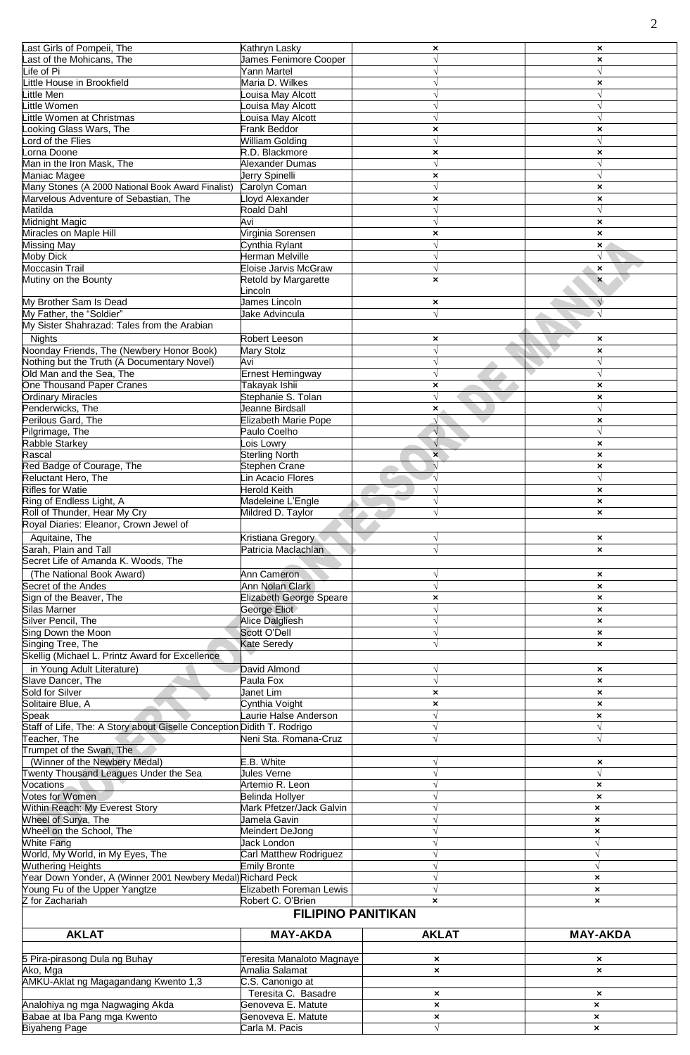| Last Girls of Pompeii, The                                             | Kathryn Lasky                        | ×                              | $\boldsymbol{\mathsf{x}}$      |
|------------------------------------------------------------------------|--------------------------------------|--------------------------------|--------------------------------|
| Last of the Mohicans, The                                              | James Fenimore Cooper                | $\sqrt{ }$                     | $\boldsymbol{\mathsf{x}}$      |
| Life of Pi                                                             | Yann Martel                          |                                |                                |
|                                                                        |                                      |                                |                                |
| Little House in Brookfield                                             | Maria D. Wilkes                      |                                | $\boldsymbol{\mathsf{x}}$      |
| Little Men                                                             | ouisa May Alcott                     |                                | V                              |
| Little Women                                                           | ouisa May Alcott                     | $\sqrt{ }$                     | $\sqrt{ }$                     |
| Little Women at Christmas                                              | ouisa May Alcott                     | $\sqrt{ }$                     | $\sqrt{}$                      |
| Looking Glass Wars, The                                                | <b>Frank Beddor</b>                  | ×                              | $\boldsymbol{\mathsf{x}}$      |
| Lord of the Flies                                                      | William Golding                      | $\sqrt{ }$                     | $\sqrt{}$                      |
| Lorna Doone                                                            | R.D. Blackmore                       | $\boldsymbol{\mathsf{x}}$      | $\boldsymbol{\mathsf{x}}$      |
| Man in the Iron Mask, The                                              | Alexander Dumas                      | $\sqrt{ }$                     |                                |
|                                                                        |                                      |                                |                                |
| Maniac Magee                                                           | Jerry Spinelli                       | ×                              | √                              |
| Many Stones (A 2000 National Book Award Finalist)                      | Carolyn Coman                        | $\sqrt{ }$                     | $\pmb{\times}$                 |
| Marvelous Adventure of Sebastian, The                                  | <b>Lloyd Alexander</b>               | ×                              | $\boldsymbol{\mathsf{x}}$      |
| Matilda                                                                | <b>Roald Dahl</b>                    | $\sqrt{ }$                     | $\sqrt{}$                      |
| Midnight Magic                                                         | Avi                                  | $\sqrt{ }$                     | $\pmb{\times}$                 |
| Miracles on Maple Hill                                                 | Virginia Sorensen                    | $\boldsymbol{\mathsf{x}}$      | $\boldsymbol{\mathsf{x}}$      |
| Missing May                                                            | Cynthia Rylant                       |                                | $\mathbf{x}$                   |
| <b>Moby Dick</b>                                                       | Herman Melville                      | $\sqrt{ }$                     | $\sqrt{}$                      |
|                                                                        | <b>Eloise Jarvis McGraw</b>          | $\sqrt{ }$                     |                                |
| Moccasin Trail                                                         |                                      |                                | $\boldsymbol{\mathsf{x}}$      |
| Mutiny on the Bounty                                                   | Retold by Margarette                 | $\boldsymbol{\mathsf{x}}$      | $\boldsymbol{\mathsf{x}}$      |
|                                                                        | incoln                               |                                |                                |
| My Brother Sam Is Dead                                                 | James Lincoln                        | ×                              | $\sqrt{ }$                     |
| My Father, the "Soldier"                                               | Jake Advincula                       | $\sqrt{ }$                     | $\sqrt{ }$                     |
| My Sister Shahrazad: Tales from the Arabian                            |                                      |                                |                                |
| <b>Nights</b>                                                          | Robert Leeson                        | ×                              | $\boldsymbol{\mathsf{x}}$      |
| Noonday Friends, The (Newbery Honor Book)                              |                                      | $\sqrt{ }$                     |                                |
|                                                                        | Mary Stolz                           |                                | $\pmb{\times}$                 |
| Nothing but the Truth (A Documentary Novel)                            | Avi                                  | $\sqrt{ }$                     |                                |
| Old Man and the Sea, The                                               | <b>Ernest Hemingway</b>              | $\sqrt{ }$                     | $\sqrt{}$                      |
| One Thousand Paper Cranes                                              | Takayak Ishii                        | ×                              | $\boldsymbol{\mathsf{x}}$      |
| <b>Ordinary Miracles</b>                                               | Stephanie S. Tolan                   | $\sqrt{}$                      | $\pmb{\times}$                 |
| Penderwicks, The                                                       | Jeanne Birdsall                      | $\boldsymbol{\mathsf{x}}$      | $\sqrt{ }$                     |
| Perilous Gard, The                                                     | <b>Elizabeth Marie Pope</b>          | √                              | $\pmb{\times}$                 |
| Pilgrimage, The                                                        | Paulo Coelho                         | $\sqrt{ }$                     | $\sqrt{}$                      |
| Rabble Starkey                                                         | ois Lowry                            | $\sqrt{}$                      |                                |
|                                                                        |                                      |                                | $\pmb{\times}$                 |
| Rascal                                                                 | <b>Sterling North</b>                | $\mathbf{x}$                   | $\boldsymbol{\mathsf{x}}$      |
| Red Badge of Courage, The                                              | Stephen Crane                        | $\sqrt{}$                      | $\boldsymbol{\mathsf{x}}$      |
| Reluctant Hero, The                                                    | in Acacio Flores                     | $\sqrt{}$                      | V                              |
| <b>Rifles for Watie</b>                                                | <b>Herold Keith</b>                  | $\sqrt{ }$                     | $\pmb{\times}$                 |
| Ring of Endless Light, A                                               | Madeleine L'Engle                    | $\sqrt{ }$                     | $\boldsymbol{\mathsf{x}}$      |
| Roll of Thunder, Hear My Cry                                           | Mildred D. Taylor                    |                                | $\boldsymbol{\mathsf{x}}$      |
| Royal Diaries: Eleanor, Crown Jewel of                                 |                                      |                                |                                |
|                                                                        |                                      |                                |                                |
| Aquitaine, The                                                         | Kristiana Gregory                    | $\sqrt{ }$                     | $\boldsymbol{\mathsf{x}}$      |
| Sarah, Plain and Tall                                                  | Patricia Maclachlan                  | $\sqrt{ }$                     | $\boldsymbol{\mathsf{x}}$      |
| Secret Life of Amanda K. Woods, The                                    |                                      |                                |                                |
| (The National Book Award)                                              | Ann Cameron                          | V                              | $\boldsymbol{\mathsf{x}}$      |
| Secret of the Andes                                                    | Ann Nolan Clark                      | $\sqrt{ }$                     | $\boldsymbol{\mathsf{x}}$      |
| Sign of the Beaver, The                                                | <b>Elizabeth George Speare</b>       | $\boldsymbol{\mathsf{x}}$      | $\boldsymbol{\mathsf{x}}$      |
| Silas Marner                                                           |                                      | $\sqrt{ }$                     |                                |
|                                                                        | George Eliot                         |                                | $\boldsymbol{\mathsf{x}}$      |
| Silver Pencil, The                                                     | Alice Dalgliesh                      | $\sqrt{ }$                     | $\boldsymbol{\mathsf{x}}$      |
| Sing Down the Moon                                                     | Scott O'Dell                         |                                | $\pmb{\times}$                 |
| Singing Tree, The                                                      | Kate Seredy                          | $\sqrt{ }$                     | $\boldsymbol{\mathsf{x}}$      |
| Skellig (Michael L. Printz Award for Excellence                        |                                      |                                |                                |
| in Young Adult Literature)                                             | David Almond                         | V                              | $\boldsymbol{\mathsf{x}}$      |
| Slave Dancer, The                                                      | Paula Fox                            | $\sqrt{ }$                     |                                |
| Sold for Silver                                                        | Janet Lim                            |                                | $\boldsymbol{\mathsf{x}}$      |
|                                                                        |                                      | ×                              | $\boldsymbol{\mathsf{x}}$      |
| Solitaire Blue, A                                                      | Cynthia Voight                       | ×                              | $\boldsymbol{\mathsf{x}}$      |
| Speak                                                                  | Laurie Halse Anderson                | $\sqrt{}$                      | $\boldsymbol{\mathsf{x}}$      |
| Staff of Life, The: A Story about Giselle Conception Didith T. Rodrigo |                                      | $\sqrt{ }$                     |                                |
| Teacher, The                                                           | Neni Sta. Romana-Cruz                |                                | $\sqrt{ }$                     |
| Trumpet of the Swan, The                                               |                                      |                                |                                |
| (Winner of the Newbery Medal)                                          | E.B. White                           |                                | $\boldsymbol{\mathsf{x}}$      |
| Twenty Thousand Leagues Under the Sea                                  | Jules Verne                          |                                | $\sqrt{}$                      |
| Vocations.                                                             | Artemio R. Leon                      |                                | $\boldsymbol{\mathsf{x}}$      |
| <b>Votes for Women</b>                                                 | Belinda Hollyer                      |                                |                                |
| <b>Within Reach: My Everest Story</b>                                  |                                      |                                | $\boldsymbol{\mathsf{x}}$      |
|                                                                        | Mark Pfetzer/Jack Galvin             |                                | $\boldsymbol{\mathsf{x}}$      |
| Wheel of Surya, The                                                    | Jamela Gavin                         |                                | $\boldsymbol{\mathsf{x}}$      |
| Wheel on the School, The                                               | Meindert DeJong                      |                                | $\pmb{\times}$                 |
| White Fang                                                             | Jack London                          |                                | $\sqrt{}$                      |
| World, My World, in My Eyes, The                                       |                                      |                                | $\sqrt{ }$                     |
| <b>Wuthering Heights</b>                                               | Carl Matthew Rodriguez               |                                |                                |
| Year Down Yonder, A (Winner 2001 Newbery Medal) Richard Peck           | <b>Emily Bronte</b>                  |                                | V                              |
|                                                                        |                                      |                                | $\boldsymbol{\mathsf{x}}$      |
|                                                                        |                                      |                                |                                |
| Young Fu of the Upper Yangtze                                          | Elizabeth Foreman Lewis              |                                | $\boldsymbol{\mathsf{x}}$      |
| Z for Zachariah                                                        | Robert C. O'Brien                    | $\boldsymbol{\mathsf{x}}$      | $\boldsymbol{\mathsf{x}}$      |
|                                                                        | <b>FILIPINO PANITIKAN</b>            |                                |                                |
|                                                                        |                                      |                                |                                |
| <b>AKLAT</b>                                                           | <b>MAY-AKDA</b>                      | <b>AKLAT</b>                   | <b>MAY-AKDA</b>                |
|                                                                        |                                      |                                |                                |
| 5 Pira-pirasong Dula ng Buhay                                          | Teresita Manaloto Magnaye            | $\boldsymbol{\mathsf{x}}$      | $\boldsymbol{\mathsf{x}}$      |
|                                                                        |                                      | $\boldsymbol{\mathsf{x}}$      | $\boldsymbol{\mathsf{x}}$      |
| Ako, Mga                                                               | Amalia Salamat                       |                                |                                |
| AMKU-Aklat ng Magagandang Kwento 1,3                                   | C.S. Canonigo at                     |                                |                                |
|                                                                        | Teresita C. Basadre                  | $\boldsymbol{\mathsf{x}}$      | $\boldsymbol{\mathsf{x}}$      |
| Analohiya ng mga Nagwaging Akda                                        | Genoveva E. Matute                   | $\pmb{\times}$                 | $\pmb{\times}$                 |
| Babae at Iba Pang mga Kwento<br><b>Biyaheng Page</b>                   | Genoveva E. Matute<br>Carla M. Pacis | $\boldsymbol{\mathsf{x}}$<br>N | $\boldsymbol{\mathsf{x}}$<br>× |

2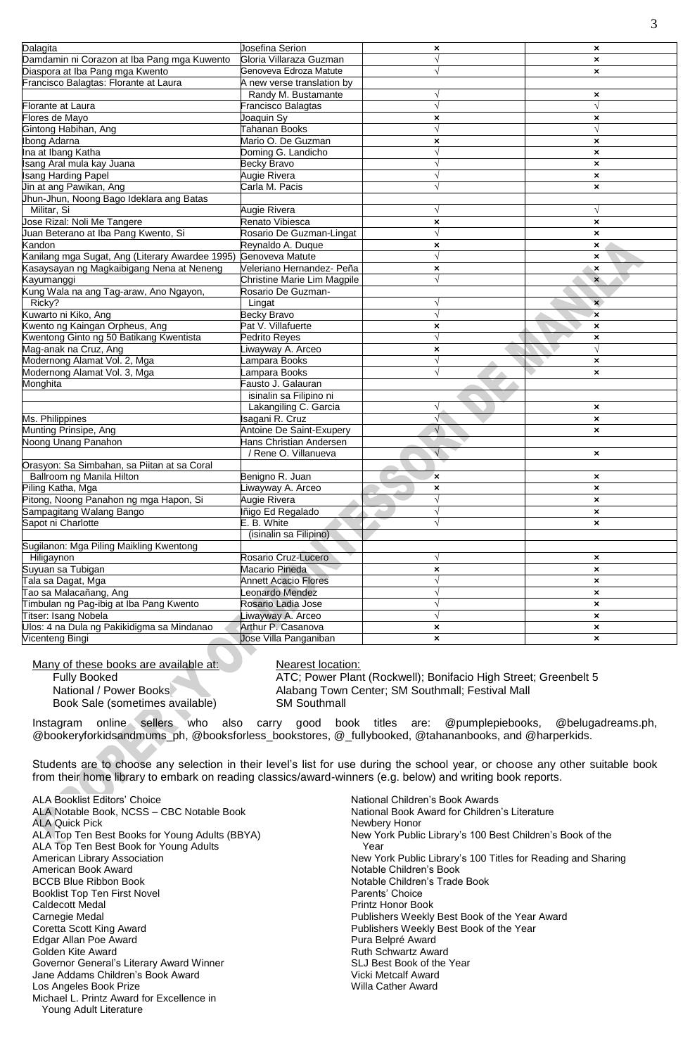| Damdamin ni Corazon at Iba Pang mga Kuwento<br>Gloria Villaraza Guzman<br>$\sqrt{ }$<br>$\boldsymbol{\mathsf{x}}$<br>Genoveva Edroza Matute<br>Diaspora at Iba Pang mga Kwento<br>$\pmb{\times}$<br>Francisco Balagtas: Florante at Laura<br>A new verse translation by<br>Randy M. Bustamante<br>V<br>×<br>Florante at Laura<br>$\sqrt{ }$<br>Francisco Balagtas<br>$\sqrt{ }$<br>Flores de Mayo<br>Joaquin Sy<br>$\pmb{\times}$<br>$\pmb{\times}$<br><b>Tahanan Books</b><br>Gintong Habihan, Ang<br>Mario O. De Guzman<br><b>Ibong Adarna</b><br>$\pmb{\times}$<br>$\pmb{\times}$<br>Ina at Ibang Katha<br>Doming G. Landicho<br>$\sqrt{ }$<br>$\pmb{\times}$<br>Becky Bravo<br>Isang Aral mula kay Juana<br>$\sqrt{}$<br>$\boldsymbol{\mathsf{x}}$<br><b>Isang Harding Papel</b><br>Augie Rivera<br>$\sqrt{}$<br>$\pmb{\times}$<br>Jin at ang Pawikan, Ang<br>Carla M. Pacis<br>$\sqrt{ }$<br>$\boldsymbol{\mathsf{x}}$<br>Jhun-Jhun, Noong Bago Ideklara ang Batas<br>Militar, Si<br>Augie Rivera<br>$\sqrt{ }$<br>Jose Rizal: Noli Me Tangere<br>Renato Vibiesca<br>×<br>$\boldsymbol{\mathsf{x}}$<br>Juan Beterano at Iba Pang Kwento, Si<br>Rosario De Guzman-Lingat<br>$\sqrt{ }$<br>$\boldsymbol{\mathsf{x}}$<br>Kandon<br>Reynaldo A. Duque<br>$\pmb{\times}$<br>×<br>Kanilang mga Sugat, Ang (Literary Awardee 1995)<br>Genoveva Matute<br>$\sqrt{ }$<br>×<br>Kasaysayan ng Magkaibigang Nena at Neneng<br>Veleriano Hernandez- Peña<br>$\pmb{\times}$<br>$\boldsymbol{\mathsf{x}}$<br>Christine Marie Lim Magpile<br>$\sqrt{ }$<br>Kayumanggi<br>$\mathbf{x}$<br>Kung Wala na ang Tag-araw, Ano Ngayon,<br>Rosario De Guzman-<br>Ricky?<br>Lingat<br>$\mathbf{x}$<br>Kuwarto ni Kiko, Ang<br>Becky Bravo<br>$\sqrt{ }$<br>×<br>Kwento ng Kaingan Orpheus, Ang<br>Pat V. Villafuerte<br>$\pmb{\times}$<br>×<br>$\sqrt{}$<br>Kwentong Ginto ng 50 Batikang Kwentista<br>Pedrito Reves<br>$\pmb{\times}$<br>Mag-anak na Cruz, Ang<br>$\sqrt{}$<br>iwayway A. Arceo<br>$\pmb{\times}$<br>Modernong Alamat Vol. 2, Mga<br>$\sqrt{}$<br>ampara Books<br>×<br>Modernong Alamat Vol. 3, Mga<br>ampara Books<br>$\boldsymbol{\mathsf{x}}$<br>Fausto J. Galauran<br>Monghita<br>isinalin sa Filipino ni<br>Lakangiling C. Garcia<br>$\sqrt{}$<br>$\pmb{\times}$<br>$\sqrt{ }$<br>Ms. Philippines<br>Isagani R. Cruz<br>$\pmb{\times}$<br>Antoine De Saint-Exupery<br>Munting Prinsipe, Ang<br>$\sqrt{ }$<br>$\boldsymbol{\mathsf{x}}$<br>Noong Unang Panahon<br>Hans Christian Andersen<br>/ Rene O. Villanueva<br>V<br>$\boldsymbol{\mathsf{x}}$<br>Orasyon: Sa Simbahan, sa Piitan at sa Coral<br>Ballroom ng Manila Hilton<br>Benigno R. Juan<br>$\boldsymbol{\mathsf{x}}$<br>×<br>Piling Katha, Mga<br>iwayway A. Arceo<br>$\pmb{\times}$<br>$\pmb{\times}$<br>Pitong, Noong Panahon ng mga Hapon, Si<br>Augie Rivera<br>$\sqrt{ }$<br>$\pmb{\times}$<br>Sampagitang Walang Bango<br>Iñigo Ed Regalado<br>$\pmb{\times}$<br>E. B. White<br>Sapot ni Charlotte<br>$\sqrt{ }$<br>$\pmb{\times}$<br>(isinalin sa Filipino)<br>Sugilanon: Mga Piling Maikling Kwentong<br>Hiligaynon<br>Rosario Cruz-Lucero<br>V<br>$\boldsymbol{\mathsf{x}}$<br>Suyuan sa Tubigan<br>Macario Pineda<br>$\pmb{\times}$<br>$\pmb{\times}$<br>Tala sa Dagat, Mga<br><b>Annett Acacio Flores</b><br>$\sqrt{}$<br>$\pmb{\times}$<br>Tao sa Malacañang, Ang<br>eonardo Mendez<br>V<br>$\boldsymbol{\mathsf{x}}$<br>Timbulan ng Pag-ibig at Iba Pang Kwento<br>Rosario Ladia Jose<br>$\sqrt{}$<br>$\pmb{\times}$<br>Titser: Isang Nobela<br>iwayway A. Arceo<br>$\pmb{\times}$<br>Ulos: 4 na Dula ng Pakikidigma sa Mindanao<br>Arthur P. Casanova<br>$\pmb{\times}$<br>$\boldsymbol{\mathsf{x}}$<br>Vicenteng Bingi<br>Jose Villa Panganiban<br>$\pmb{\times}$<br>$\pmb{\times}$ |          |                 |                |   |
|----------------------------------------------------------------------------------------------------------------------------------------------------------------------------------------------------------------------------------------------------------------------------------------------------------------------------------------------------------------------------------------------------------------------------------------------------------------------------------------------------------------------------------------------------------------------------------------------------------------------------------------------------------------------------------------------------------------------------------------------------------------------------------------------------------------------------------------------------------------------------------------------------------------------------------------------------------------------------------------------------------------------------------------------------------------------------------------------------------------------------------------------------------------------------------------------------------------------------------------------------------------------------------------------------------------------------------------------------------------------------------------------------------------------------------------------------------------------------------------------------------------------------------------------------------------------------------------------------------------------------------------------------------------------------------------------------------------------------------------------------------------------------------------------------------------------------------------------------------------------------------------------------------------------------------------------------------------------------------------------------------------------------------------------------------------------------------------------------------------------------------------------------------------------------------------------------------------------------------------------------------------------------------------------------------------------------------------------------------------------------------------------------------------------------------------------------------------------------------------------------------------------------------------------------------------------------------------------------------------------------------------------------------------------------------------------------------------------------------------------------------------------------------------------------------------------------------------------------------------------------------------------------------------------------------------------------------------------------------------------------------------------------------------------------------------------------------------------------------------------------------------------------------------------------------------------------------------------------------------------------------------------------------------------------------------------------------------------------------------------------------------------------------------------------------------------------------------------------------------------------------------------------------------------------------------------------------------------------------------------------------------------------------------------------------------------------------------------------------------------------------------|----------|-----------------|----------------|---|
|                                                                                                                                                                                                                                                                                                                                                                                                                                                                                                                                                                                                                                                                                                                                                                                                                                                                                                                                                                                                                                                                                                                                                                                                                                                                                                                                                                                                                                                                                                                                                                                                                                                                                                                                                                                                                                                                                                                                                                                                                                                                                                                                                                                                                                                                                                                                                                                                                                                                                                                                                                                                                                                                                                                                                                                                                                                                                                                                                                                                                                                                                                                                                                                                                                                                                                                                                                                                                                                                                                                                                                                                                                                                                                                                                                | Dalagita | Josefina Serion | $\pmb{\times}$ | × |
|                                                                                                                                                                                                                                                                                                                                                                                                                                                                                                                                                                                                                                                                                                                                                                                                                                                                                                                                                                                                                                                                                                                                                                                                                                                                                                                                                                                                                                                                                                                                                                                                                                                                                                                                                                                                                                                                                                                                                                                                                                                                                                                                                                                                                                                                                                                                                                                                                                                                                                                                                                                                                                                                                                                                                                                                                                                                                                                                                                                                                                                                                                                                                                                                                                                                                                                                                                                                                                                                                                                                                                                                                                                                                                                                                                |          |                 |                |   |
|                                                                                                                                                                                                                                                                                                                                                                                                                                                                                                                                                                                                                                                                                                                                                                                                                                                                                                                                                                                                                                                                                                                                                                                                                                                                                                                                                                                                                                                                                                                                                                                                                                                                                                                                                                                                                                                                                                                                                                                                                                                                                                                                                                                                                                                                                                                                                                                                                                                                                                                                                                                                                                                                                                                                                                                                                                                                                                                                                                                                                                                                                                                                                                                                                                                                                                                                                                                                                                                                                                                                                                                                                                                                                                                                                                |          |                 |                |   |
|                                                                                                                                                                                                                                                                                                                                                                                                                                                                                                                                                                                                                                                                                                                                                                                                                                                                                                                                                                                                                                                                                                                                                                                                                                                                                                                                                                                                                                                                                                                                                                                                                                                                                                                                                                                                                                                                                                                                                                                                                                                                                                                                                                                                                                                                                                                                                                                                                                                                                                                                                                                                                                                                                                                                                                                                                                                                                                                                                                                                                                                                                                                                                                                                                                                                                                                                                                                                                                                                                                                                                                                                                                                                                                                                                                |          |                 |                |   |
|                                                                                                                                                                                                                                                                                                                                                                                                                                                                                                                                                                                                                                                                                                                                                                                                                                                                                                                                                                                                                                                                                                                                                                                                                                                                                                                                                                                                                                                                                                                                                                                                                                                                                                                                                                                                                                                                                                                                                                                                                                                                                                                                                                                                                                                                                                                                                                                                                                                                                                                                                                                                                                                                                                                                                                                                                                                                                                                                                                                                                                                                                                                                                                                                                                                                                                                                                                                                                                                                                                                                                                                                                                                                                                                                                                |          |                 |                |   |
|                                                                                                                                                                                                                                                                                                                                                                                                                                                                                                                                                                                                                                                                                                                                                                                                                                                                                                                                                                                                                                                                                                                                                                                                                                                                                                                                                                                                                                                                                                                                                                                                                                                                                                                                                                                                                                                                                                                                                                                                                                                                                                                                                                                                                                                                                                                                                                                                                                                                                                                                                                                                                                                                                                                                                                                                                                                                                                                                                                                                                                                                                                                                                                                                                                                                                                                                                                                                                                                                                                                                                                                                                                                                                                                                                                |          |                 |                |   |
|                                                                                                                                                                                                                                                                                                                                                                                                                                                                                                                                                                                                                                                                                                                                                                                                                                                                                                                                                                                                                                                                                                                                                                                                                                                                                                                                                                                                                                                                                                                                                                                                                                                                                                                                                                                                                                                                                                                                                                                                                                                                                                                                                                                                                                                                                                                                                                                                                                                                                                                                                                                                                                                                                                                                                                                                                                                                                                                                                                                                                                                                                                                                                                                                                                                                                                                                                                                                                                                                                                                                                                                                                                                                                                                                                                |          |                 |                |   |
|                                                                                                                                                                                                                                                                                                                                                                                                                                                                                                                                                                                                                                                                                                                                                                                                                                                                                                                                                                                                                                                                                                                                                                                                                                                                                                                                                                                                                                                                                                                                                                                                                                                                                                                                                                                                                                                                                                                                                                                                                                                                                                                                                                                                                                                                                                                                                                                                                                                                                                                                                                                                                                                                                                                                                                                                                                                                                                                                                                                                                                                                                                                                                                                                                                                                                                                                                                                                                                                                                                                                                                                                                                                                                                                                                                |          |                 |                |   |
|                                                                                                                                                                                                                                                                                                                                                                                                                                                                                                                                                                                                                                                                                                                                                                                                                                                                                                                                                                                                                                                                                                                                                                                                                                                                                                                                                                                                                                                                                                                                                                                                                                                                                                                                                                                                                                                                                                                                                                                                                                                                                                                                                                                                                                                                                                                                                                                                                                                                                                                                                                                                                                                                                                                                                                                                                                                                                                                                                                                                                                                                                                                                                                                                                                                                                                                                                                                                                                                                                                                                                                                                                                                                                                                                                                |          |                 |                |   |
|                                                                                                                                                                                                                                                                                                                                                                                                                                                                                                                                                                                                                                                                                                                                                                                                                                                                                                                                                                                                                                                                                                                                                                                                                                                                                                                                                                                                                                                                                                                                                                                                                                                                                                                                                                                                                                                                                                                                                                                                                                                                                                                                                                                                                                                                                                                                                                                                                                                                                                                                                                                                                                                                                                                                                                                                                                                                                                                                                                                                                                                                                                                                                                                                                                                                                                                                                                                                                                                                                                                                                                                                                                                                                                                                                                |          |                 |                |   |
|                                                                                                                                                                                                                                                                                                                                                                                                                                                                                                                                                                                                                                                                                                                                                                                                                                                                                                                                                                                                                                                                                                                                                                                                                                                                                                                                                                                                                                                                                                                                                                                                                                                                                                                                                                                                                                                                                                                                                                                                                                                                                                                                                                                                                                                                                                                                                                                                                                                                                                                                                                                                                                                                                                                                                                                                                                                                                                                                                                                                                                                                                                                                                                                                                                                                                                                                                                                                                                                                                                                                                                                                                                                                                                                                                                |          |                 |                |   |
|                                                                                                                                                                                                                                                                                                                                                                                                                                                                                                                                                                                                                                                                                                                                                                                                                                                                                                                                                                                                                                                                                                                                                                                                                                                                                                                                                                                                                                                                                                                                                                                                                                                                                                                                                                                                                                                                                                                                                                                                                                                                                                                                                                                                                                                                                                                                                                                                                                                                                                                                                                                                                                                                                                                                                                                                                                                                                                                                                                                                                                                                                                                                                                                                                                                                                                                                                                                                                                                                                                                                                                                                                                                                                                                                                                |          |                 |                |   |
|                                                                                                                                                                                                                                                                                                                                                                                                                                                                                                                                                                                                                                                                                                                                                                                                                                                                                                                                                                                                                                                                                                                                                                                                                                                                                                                                                                                                                                                                                                                                                                                                                                                                                                                                                                                                                                                                                                                                                                                                                                                                                                                                                                                                                                                                                                                                                                                                                                                                                                                                                                                                                                                                                                                                                                                                                                                                                                                                                                                                                                                                                                                                                                                                                                                                                                                                                                                                                                                                                                                                                                                                                                                                                                                                                                |          |                 |                |   |
|                                                                                                                                                                                                                                                                                                                                                                                                                                                                                                                                                                                                                                                                                                                                                                                                                                                                                                                                                                                                                                                                                                                                                                                                                                                                                                                                                                                                                                                                                                                                                                                                                                                                                                                                                                                                                                                                                                                                                                                                                                                                                                                                                                                                                                                                                                                                                                                                                                                                                                                                                                                                                                                                                                                                                                                                                                                                                                                                                                                                                                                                                                                                                                                                                                                                                                                                                                                                                                                                                                                                                                                                                                                                                                                                                                |          |                 |                |   |
|                                                                                                                                                                                                                                                                                                                                                                                                                                                                                                                                                                                                                                                                                                                                                                                                                                                                                                                                                                                                                                                                                                                                                                                                                                                                                                                                                                                                                                                                                                                                                                                                                                                                                                                                                                                                                                                                                                                                                                                                                                                                                                                                                                                                                                                                                                                                                                                                                                                                                                                                                                                                                                                                                                                                                                                                                                                                                                                                                                                                                                                                                                                                                                                                                                                                                                                                                                                                                                                                                                                                                                                                                                                                                                                                                                |          |                 |                |   |
|                                                                                                                                                                                                                                                                                                                                                                                                                                                                                                                                                                                                                                                                                                                                                                                                                                                                                                                                                                                                                                                                                                                                                                                                                                                                                                                                                                                                                                                                                                                                                                                                                                                                                                                                                                                                                                                                                                                                                                                                                                                                                                                                                                                                                                                                                                                                                                                                                                                                                                                                                                                                                                                                                                                                                                                                                                                                                                                                                                                                                                                                                                                                                                                                                                                                                                                                                                                                                                                                                                                                                                                                                                                                                                                                                                |          |                 |                |   |
|                                                                                                                                                                                                                                                                                                                                                                                                                                                                                                                                                                                                                                                                                                                                                                                                                                                                                                                                                                                                                                                                                                                                                                                                                                                                                                                                                                                                                                                                                                                                                                                                                                                                                                                                                                                                                                                                                                                                                                                                                                                                                                                                                                                                                                                                                                                                                                                                                                                                                                                                                                                                                                                                                                                                                                                                                                                                                                                                                                                                                                                                                                                                                                                                                                                                                                                                                                                                                                                                                                                                                                                                                                                                                                                                                                |          |                 |                |   |
|                                                                                                                                                                                                                                                                                                                                                                                                                                                                                                                                                                                                                                                                                                                                                                                                                                                                                                                                                                                                                                                                                                                                                                                                                                                                                                                                                                                                                                                                                                                                                                                                                                                                                                                                                                                                                                                                                                                                                                                                                                                                                                                                                                                                                                                                                                                                                                                                                                                                                                                                                                                                                                                                                                                                                                                                                                                                                                                                                                                                                                                                                                                                                                                                                                                                                                                                                                                                                                                                                                                                                                                                                                                                                                                                                                |          |                 |                |   |
|                                                                                                                                                                                                                                                                                                                                                                                                                                                                                                                                                                                                                                                                                                                                                                                                                                                                                                                                                                                                                                                                                                                                                                                                                                                                                                                                                                                                                                                                                                                                                                                                                                                                                                                                                                                                                                                                                                                                                                                                                                                                                                                                                                                                                                                                                                                                                                                                                                                                                                                                                                                                                                                                                                                                                                                                                                                                                                                                                                                                                                                                                                                                                                                                                                                                                                                                                                                                                                                                                                                                                                                                                                                                                                                                                                |          |                 |                |   |
|                                                                                                                                                                                                                                                                                                                                                                                                                                                                                                                                                                                                                                                                                                                                                                                                                                                                                                                                                                                                                                                                                                                                                                                                                                                                                                                                                                                                                                                                                                                                                                                                                                                                                                                                                                                                                                                                                                                                                                                                                                                                                                                                                                                                                                                                                                                                                                                                                                                                                                                                                                                                                                                                                                                                                                                                                                                                                                                                                                                                                                                                                                                                                                                                                                                                                                                                                                                                                                                                                                                                                                                                                                                                                                                                                                |          |                 |                |   |
|                                                                                                                                                                                                                                                                                                                                                                                                                                                                                                                                                                                                                                                                                                                                                                                                                                                                                                                                                                                                                                                                                                                                                                                                                                                                                                                                                                                                                                                                                                                                                                                                                                                                                                                                                                                                                                                                                                                                                                                                                                                                                                                                                                                                                                                                                                                                                                                                                                                                                                                                                                                                                                                                                                                                                                                                                                                                                                                                                                                                                                                                                                                                                                                                                                                                                                                                                                                                                                                                                                                                                                                                                                                                                                                                                                |          |                 |                |   |
|                                                                                                                                                                                                                                                                                                                                                                                                                                                                                                                                                                                                                                                                                                                                                                                                                                                                                                                                                                                                                                                                                                                                                                                                                                                                                                                                                                                                                                                                                                                                                                                                                                                                                                                                                                                                                                                                                                                                                                                                                                                                                                                                                                                                                                                                                                                                                                                                                                                                                                                                                                                                                                                                                                                                                                                                                                                                                                                                                                                                                                                                                                                                                                                                                                                                                                                                                                                                                                                                                                                                                                                                                                                                                                                                                                |          |                 |                |   |
|                                                                                                                                                                                                                                                                                                                                                                                                                                                                                                                                                                                                                                                                                                                                                                                                                                                                                                                                                                                                                                                                                                                                                                                                                                                                                                                                                                                                                                                                                                                                                                                                                                                                                                                                                                                                                                                                                                                                                                                                                                                                                                                                                                                                                                                                                                                                                                                                                                                                                                                                                                                                                                                                                                                                                                                                                                                                                                                                                                                                                                                                                                                                                                                                                                                                                                                                                                                                                                                                                                                                                                                                                                                                                                                                                                |          |                 |                |   |
|                                                                                                                                                                                                                                                                                                                                                                                                                                                                                                                                                                                                                                                                                                                                                                                                                                                                                                                                                                                                                                                                                                                                                                                                                                                                                                                                                                                                                                                                                                                                                                                                                                                                                                                                                                                                                                                                                                                                                                                                                                                                                                                                                                                                                                                                                                                                                                                                                                                                                                                                                                                                                                                                                                                                                                                                                                                                                                                                                                                                                                                                                                                                                                                                                                                                                                                                                                                                                                                                                                                                                                                                                                                                                                                                                                |          |                 |                |   |
|                                                                                                                                                                                                                                                                                                                                                                                                                                                                                                                                                                                                                                                                                                                                                                                                                                                                                                                                                                                                                                                                                                                                                                                                                                                                                                                                                                                                                                                                                                                                                                                                                                                                                                                                                                                                                                                                                                                                                                                                                                                                                                                                                                                                                                                                                                                                                                                                                                                                                                                                                                                                                                                                                                                                                                                                                                                                                                                                                                                                                                                                                                                                                                                                                                                                                                                                                                                                                                                                                                                                                                                                                                                                                                                                                                |          |                 |                |   |
|                                                                                                                                                                                                                                                                                                                                                                                                                                                                                                                                                                                                                                                                                                                                                                                                                                                                                                                                                                                                                                                                                                                                                                                                                                                                                                                                                                                                                                                                                                                                                                                                                                                                                                                                                                                                                                                                                                                                                                                                                                                                                                                                                                                                                                                                                                                                                                                                                                                                                                                                                                                                                                                                                                                                                                                                                                                                                                                                                                                                                                                                                                                                                                                                                                                                                                                                                                                                                                                                                                                                                                                                                                                                                                                                                                |          |                 |                |   |
|                                                                                                                                                                                                                                                                                                                                                                                                                                                                                                                                                                                                                                                                                                                                                                                                                                                                                                                                                                                                                                                                                                                                                                                                                                                                                                                                                                                                                                                                                                                                                                                                                                                                                                                                                                                                                                                                                                                                                                                                                                                                                                                                                                                                                                                                                                                                                                                                                                                                                                                                                                                                                                                                                                                                                                                                                                                                                                                                                                                                                                                                                                                                                                                                                                                                                                                                                                                                                                                                                                                                                                                                                                                                                                                                                                |          |                 |                |   |
|                                                                                                                                                                                                                                                                                                                                                                                                                                                                                                                                                                                                                                                                                                                                                                                                                                                                                                                                                                                                                                                                                                                                                                                                                                                                                                                                                                                                                                                                                                                                                                                                                                                                                                                                                                                                                                                                                                                                                                                                                                                                                                                                                                                                                                                                                                                                                                                                                                                                                                                                                                                                                                                                                                                                                                                                                                                                                                                                                                                                                                                                                                                                                                                                                                                                                                                                                                                                                                                                                                                                                                                                                                                                                                                                                                |          |                 |                |   |
|                                                                                                                                                                                                                                                                                                                                                                                                                                                                                                                                                                                                                                                                                                                                                                                                                                                                                                                                                                                                                                                                                                                                                                                                                                                                                                                                                                                                                                                                                                                                                                                                                                                                                                                                                                                                                                                                                                                                                                                                                                                                                                                                                                                                                                                                                                                                                                                                                                                                                                                                                                                                                                                                                                                                                                                                                                                                                                                                                                                                                                                                                                                                                                                                                                                                                                                                                                                                                                                                                                                                                                                                                                                                                                                                                                |          |                 |                |   |
|                                                                                                                                                                                                                                                                                                                                                                                                                                                                                                                                                                                                                                                                                                                                                                                                                                                                                                                                                                                                                                                                                                                                                                                                                                                                                                                                                                                                                                                                                                                                                                                                                                                                                                                                                                                                                                                                                                                                                                                                                                                                                                                                                                                                                                                                                                                                                                                                                                                                                                                                                                                                                                                                                                                                                                                                                                                                                                                                                                                                                                                                                                                                                                                                                                                                                                                                                                                                                                                                                                                                                                                                                                                                                                                                                                |          |                 |                |   |
|                                                                                                                                                                                                                                                                                                                                                                                                                                                                                                                                                                                                                                                                                                                                                                                                                                                                                                                                                                                                                                                                                                                                                                                                                                                                                                                                                                                                                                                                                                                                                                                                                                                                                                                                                                                                                                                                                                                                                                                                                                                                                                                                                                                                                                                                                                                                                                                                                                                                                                                                                                                                                                                                                                                                                                                                                                                                                                                                                                                                                                                                                                                                                                                                                                                                                                                                                                                                                                                                                                                                                                                                                                                                                                                                                                |          |                 |                |   |
|                                                                                                                                                                                                                                                                                                                                                                                                                                                                                                                                                                                                                                                                                                                                                                                                                                                                                                                                                                                                                                                                                                                                                                                                                                                                                                                                                                                                                                                                                                                                                                                                                                                                                                                                                                                                                                                                                                                                                                                                                                                                                                                                                                                                                                                                                                                                                                                                                                                                                                                                                                                                                                                                                                                                                                                                                                                                                                                                                                                                                                                                                                                                                                                                                                                                                                                                                                                                                                                                                                                                                                                                                                                                                                                                                                |          |                 |                |   |
|                                                                                                                                                                                                                                                                                                                                                                                                                                                                                                                                                                                                                                                                                                                                                                                                                                                                                                                                                                                                                                                                                                                                                                                                                                                                                                                                                                                                                                                                                                                                                                                                                                                                                                                                                                                                                                                                                                                                                                                                                                                                                                                                                                                                                                                                                                                                                                                                                                                                                                                                                                                                                                                                                                                                                                                                                                                                                                                                                                                                                                                                                                                                                                                                                                                                                                                                                                                                                                                                                                                                                                                                                                                                                                                                                                |          |                 |                |   |
|                                                                                                                                                                                                                                                                                                                                                                                                                                                                                                                                                                                                                                                                                                                                                                                                                                                                                                                                                                                                                                                                                                                                                                                                                                                                                                                                                                                                                                                                                                                                                                                                                                                                                                                                                                                                                                                                                                                                                                                                                                                                                                                                                                                                                                                                                                                                                                                                                                                                                                                                                                                                                                                                                                                                                                                                                                                                                                                                                                                                                                                                                                                                                                                                                                                                                                                                                                                                                                                                                                                                                                                                                                                                                                                                                                |          |                 |                |   |
|                                                                                                                                                                                                                                                                                                                                                                                                                                                                                                                                                                                                                                                                                                                                                                                                                                                                                                                                                                                                                                                                                                                                                                                                                                                                                                                                                                                                                                                                                                                                                                                                                                                                                                                                                                                                                                                                                                                                                                                                                                                                                                                                                                                                                                                                                                                                                                                                                                                                                                                                                                                                                                                                                                                                                                                                                                                                                                                                                                                                                                                                                                                                                                                                                                                                                                                                                                                                                                                                                                                                                                                                                                                                                                                                                                |          |                 |                |   |
|                                                                                                                                                                                                                                                                                                                                                                                                                                                                                                                                                                                                                                                                                                                                                                                                                                                                                                                                                                                                                                                                                                                                                                                                                                                                                                                                                                                                                                                                                                                                                                                                                                                                                                                                                                                                                                                                                                                                                                                                                                                                                                                                                                                                                                                                                                                                                                                                                                                                                                                                                                                                                                                                                                                                                                                                                                                                                                                                                                                                                                                                                                                                                                                                                                                                                                                                                                                                                                                                                                                                                                                                                                                                                                                                                                |          |                 |                |   |
|                                                                                                                                                                                                                                                                                                                                                                                                                                                                                                                                                                                                                                                                                                                                                                                                                                                                                                                                                                                                                                                                                                                                                                                                                                                                                                                                                                                                                                                                                                                                                                                                                                                                                                                                                                                                                                                                                                                                                                                                                                                                                                                                                                                                                                                                                                                                                                                                                                                                                                                                                                                                                                                                                                                                                                                                                                                                                                                                                                                                                                                                                                                                                                                                                                                                                                                                                                                                                                                                                                                                                                                                                                                                                                                                                                |          |                 |                |   |
|                                                                                                                                                                                                                                                                                                                                                                                                                                                                                                                                                                                                                                                                                                                                                                                                                                                                                                                                                                                                                                                                                                                                                                                                                                                                                                                                                                                                                                                                                                                                                                                                                                                                                                                                                                                                                                                                                                                                                                                                                                                                                                                                                                                                                                                                                                                                                                                                                                                                                                                                                                                                                                                                                                                                                                                                                                                                                                                                                                                                                                                                                                                                                                                                                                                                                                                                                                                                                                                                                                                                                                                                                                                                                                                                                                |          |                 |                |   |
|                                                                                                                                                                                                                                                                                                                                                                                                                                                                                                                                                                                                                                                                                                                                                                                                                                                                                                                                                                                                                                                                                                                                                                                                                                                                                                                                                                                                                                                                                                                                                                                                                                                                                                                                                                                                                                                                                                                                                                                                                                                                                                                                                                                                                                                                                                                                                                                                                                                                                                                                                                                                                                                                                                                                                                                                                                                                                                                                                                                                                                                                                                                                                                                                                                                                                                                                                                                                                                                                                                                                                                                                                                                                                                                                                                |          |                 |                |   |
|                                                                                                                                                                                                                                                                                                                                                                                                                                                                                                                                                                                                                                                                                                                                                                                                                                                                                                                                                                                                                                                                                                                                                                                                                                                                                                                                                                                                                                                                                                                                                                                                                                                                                                                                                                                                                                                                                                                                                                                                                                                                                                                                                                                                                                                                                                                                                                                                                                                                                                                                                                                                                                                                                                                                                                                                                                                                                                                                                                                                                                                                                                                                                                                                                                                                                                                                                                                                                                                                                                                                                                                                                                                                                                                                                                |          |                 |                |   |
|                                                                                                                                                                                                                                                                                                                                                                                                                                                                                                                                                                                                                                                                                                                                                                                                                                                                                                                                                                                                                                                                                                                                                                                                                                                                                                                                                                                                                                                                                                                                                                                                                                                                                                                                                                                                                                                                                                                                                                                                                                                                                                                                                                                                                                                                                                                                                                                                                                                                                                                                                                                                                                                                                                                                                                                                                                                                                                                                                                                                                                                                                                                                                                                                                                                                                                                                                                                                                                                                                                                                                                                                                                                                                                                                                                |          |                 |                |   |
|                                                                                                                                                                                                                                                                                                                                                                                                                                                                                                                                                                                                                                                                                                                                                                                                                                                                                                                                                                                                                                                                                                                                                                                                                                                                                                                                                                                                                                                                                                                                                                                                                                                                                                                                                                                                                                                                                                                                                                                                                                                                                                                                                                                                                                                                                                                                                                                                                                                                                                                                                                                                                                                                                                                                                                                                                                                                                                                                                                                                                                                                                                                                                                                                                                                                                                                                                                                                                                                                                                                                                                                                                                                                                                                                                                |          |                 |                |   |
|                                                                                                                                                                                                                                                                                                                                                                                                                                                                                                                                                                                                                                                                                                                                                                                                                                                                                                                                                                                                                                                                                                                                                                                                                                                                                                                                                                                                                                                                                                                                                                                                                                                                                                                                                                                                                                                                                                                                                                                                                                                                                                                                                                                                                                                                                                                                                                                                                                                                                                                                                                                                                                                                                                                                                                                                                                                                                                                                                                                                                                                                                                                                                                                                                                                                                                                                                                                                                                                                                                                                                                                                                                                                                                                                                                |          |                 |                |   |
|                                                                                                                                                                                                                                                                                                                                                                                                                                                                                                                                                                                                                                                                                                                                                                                                                                                                                                                                                                                                                                                                                                                                                                                                                                                                                                                                                                                                                                                                                                                                                                                                                                                                                                                                                                                                                                                                                                                                                                                                                                                                                                                                                                                                                                                                                                                                                                                                                                                                                                                                                                                                                                                                                                                                                                                                                                                                                                                                                                                                                                                                                                                                                                                                                                                                                                                                                                                                                                                                                                                                                                                                                                                                                                                                                                |          |                 |                |   |
|                                                                                                                                                                                                                                                                                                                                                                                                                                                                                                                                                                                                                                                                                                                                                                                                                                                                                                                                                                                                                                                                                                                                                                                                                                                                                                                                                                                                                                                                                                                                                                                                                                                                                                                                                                                                                                                                                                                                                                                                                                                                                                                                                                                                                                                                                                                                                                                                                                                                                                                                                                                                                                                                                                                                                                                                                                                                                                                                                                                                                                                                                                                                                                                                                                                                                                                                                                                                                                                                                                                                                                                                                                                                                                                                                                |          |                 |                |   |
|                                                                                                                                                                                                                                                                                                                                                                                                                                                                                                                                                                                                                                                                                                                                                                                                                                                                                                                                                                                                                                                                                                                                                                                                                                                                                                                                                                                                                                                                                                                                                                                                                                                                                                                                                                                                                                                                                                                                                                                                                                                                                                                                                                                                                                                                                                                                                                                                                                                                                                                                                                                                                                                                                                                                                                                                                                                                                                                                                                                                                                                                                                                                                                                                                                                                                                                                                                                                                                                                                                                                                                                                                                                                                                                                                                |          |                 |                |   |
|                                                                                                                                                                                                                                                                                                                                                                                                                                                                                                                                                                                                                                                                                                                                                                                                                                                                                                                                                                                                                                                                                                                                                                                                                                                                                                                                                                                                                                                                                                                                                                                                                                                                                                                                                                                                                                                                                                                                                                                                                                                                                                                                                                                                                                                                                                                                                                                                                                                                                                                                                                                                                                                                                                                                                                                                                                                                                                                                                                                                                                                                                                                                                                                                                                                                                                                                                                                                                                                                                                                                                                                                                                                                                                                                                                |          |                 |                |   |
|                                                                                                                                                                                                                                                                                                                                                                                                                                                                                                                                                                                                                                                                                                                                                                                                                                                                                                                                                                                                                                                                                                                                                                                                                                                                                                                                                                                                                                                                                                                                                                                                                                                                                                                                                                                                                                                                                                                                                                                                                                                                                                                                                                                                                                                                                                                                                                                                                                                                                                                                                                                                                                                                                                                                                                                                                                                                                                                                                                                                                                                                                                                                                                                                                                                                                                                                                                                                                                                                                                                                                                                                                                                                                                                                                                |          |                 |                |   |
|                                                                                                                                                                                                                                                                                                                                                                                                                                                                                                                                                                                                                                                                                                                                                                                                                                                                                                                                                                                                                                                                                                                                                                                                                                                                                                                                                                                                                                                                                                                                                                                                                                                                                                                                                                                                                                                                                                                                                                                                                                                                                                                                                                                                                                                                                                                                                                                                                                                                                                                                                                                                                                                                                                                                                                                                                                                                                                                                                                                                                                                                                                                                                                                                                                                                                                                                                                                                                                                                                                                                                                                                                                                                                                                                                                |          |                 |                |   |
|                                                                                                                                                                                                                                                                                                                                                                                                                                                                                                                                                                                                                                                                                                                                                                                                                                                                                                                                                                                                                                                                                                                                                                                                                                                                                                                                                                                                                                                                                                                                                                                                                                                                                                                                                                                                                                                                                                                                                                                                                                                                                                                                                                                                                                                                                                                                                                                                                                                                                                                                                                                                                                                                                                                                                                                                                                                                                                                                                                                                                                                                                                                                                                                                                                                                                                                                                                                                                                                                                                                                                                                                                                                                                                                                                                |          |                 |                |   |
|                                                                                                                                                                                                                                                                                                                                                                                                                                                                                                                                                                                                                                                                                                                                                                                                                                                                                                                                                                                                                                                                                                                                                                                                                                                                                                                                                                                                                                                                                                                                                                                                                                                                                                                                                                                                                                                                                                                                                                                                                                                                                                                                                                                                                                                                                                                                                                                                                                                                                                                                                                                                                                                                                                                                                                                                                                                                                                                                                                                                                                                                                                                                                                                                                                                                                                                                                                                                                                                                                                                                                                                                                                                                                                                                                                |          |                 |                |   |
|                                                                                                                                                                                                                                                                                                                                                                                                                                                                                                                                                                                                                                                                                                                                                                                                                                                                                                                                                                                                                                                                                                                                                                                                                                                                                                                                                                                                                                                                                                                                                                                                                                                                                                                                                                                                                                                                                                                                                                                                                                                                                                                                                                                                                                                                                                                                                                                                                                                                                                                                                                                                                                                                                                                                                                                                                                                                                                                                                                                                                                                                                                                                                                                                                                                                                                                                                                                                                                                                                                                                                                                                                                                                                                                                                                |          |                 |                |   |

Many of these books are available at: Nearest location:

Book Sale (sometimes available) SM Southmall

Fully Booked **ATC**; Power Plant (Rockwell); Bonifacio High Street; Greenbelt 5 National / Power Books Alabang Town Center; SM Southmall; Festival Mall

Instagram online sellers who also carry good book titles are: @pumplepiebooks, @belugadreams.ph, @bookeryforkidsandmums\_ph, @booksforless\_bookstores, @\_fullybooked, @tahananbooks, and @harperkids.

Students are to choose any selection in their level's list for use during the school year, or choose any other suitable book from their home library to embark on reading classics/award-winners (e.g. below) and writing book reports.

ALA Booklist Editors' Choice **National Children's Book Awards** National Children's Book Awards ALA Notable Book, NCSS – CBC Notable Book National Book Award for Children's Literature ALA Quick Pick<br>ALA Top Ten Best Books for Young Adults (BBYA) New York Public ALA Top Ten Best Book for Young Adults Year American Book Award **American Book Award Children's Book** Notable Children's Book<br>
BCCB Blue Ribbon Book **Notable Children's Trade** Booklist Top Ten First Novel<br>Caldecott Medal Carnegie Medal Publishers Weekly Best Book of the Year Award Coretta Scott King Award<br>
Coretta Scott King Award **Publishers Weekly Best Book of the Year**<br>
Pura Belpré Award Edgar Allan Poe Award Golden Kite Award<br>
Governor General's Literary Award Winner<br>
Governor General's Literary Award Winner<br>
Covernor SLJ Best Book of the Year Governor General's Literary Award Winner Jane Addams Children's Book Award **Vicki Metcalf Award Children's Book Award** Vicki Metcalf Award Villa Cather Award Los Angeles Book Prize Michael L. Printz Award for Excellence in Young Adult Literature

New York Public Library's 100 Best Children's Book of the American Library Association  $\overline{\phantom{a}}$  (New York Public Library's 100 Titles for Reading and Sharing American Book Award Notable Children's Trade Book<br>Parents' Choice Printz Honor Book